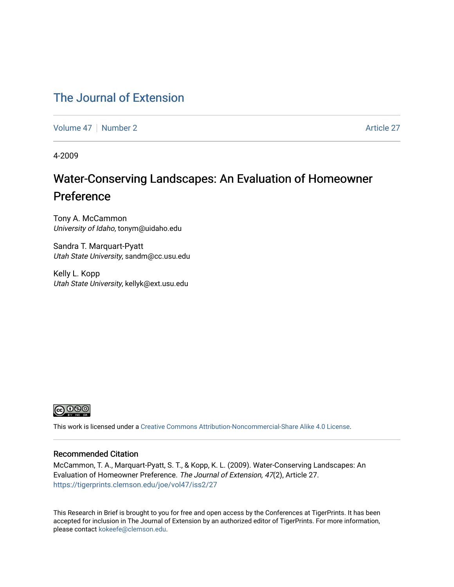### [The Journal of Extension](https://tigerprints.clemson.edu/joe)

[Volume 47](https://tigerprints.clemson.edu/joe/vol47) | [Number 2](https://tigerprints.clemson.edu/joe/vol47/iss2) [Article 27](https://tigerprints.clemson.edu/joe/vol47/iss2/27) Article 27

4-2009

## Water-Conserving Landscapes: An Evaluation of Homeowner Preference

Tony A. McCammon University of Idaho, tonym@uidaho.edu

Sandra T. Marquart-Pyatt Utah State University, sandm@cc.usu.edu

Kelly L. Kopp Utah State University, kellyk@ext.usu.edu



This work is licensed under a [Creative Commons Attribution-Noncommercial-Share Alike 4.0 License.](https://creativecommons.org/licenses/by-nc-sa/4.0/)

### Recommended Citation

McCammon, T. A., Marquart-Pyatt, S. T., & Kopp, K. L. (2009). Water-Conserving Landscapes: An Evaluation of Homeowner Preference. The Journal of Extension, 47(2), Article 27. <https://tigerprints.clemson.edu/joe/vol47/iss2/27>

This Research in Brief is brought to you for free and open access by the Conferences at TigerPrints. It has been accepted for inclusion in The Journal of Extension by an authorized editor of TigerPrints. For more information, please contact [kokeefe@clemson.edu](mailto:kokeefe@clemson.edu).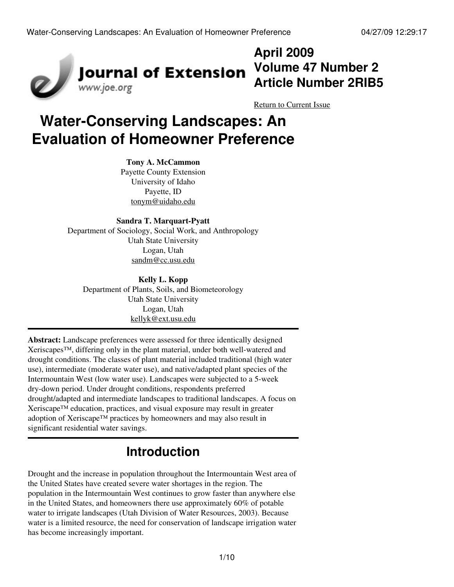

## **April 2009 Volume 47 Number 2 Article Number 2RIB5**

[Return to Current Issue](http://www.joe.org:80/joe/2009april/)

# **Water-Conserving Landscapes: An Evaluation of Homeowner Preference**

### **Tony A. McCammon**

Payette County Extension University of Idaho Payette, ID [tonym@uidaho.edu](mailto:tonym@uidaho.edu)

### **Sandra T. Marquart-Pyatt**

Department of Sociology, Social Work, and Anthropology Utah State University Logan, Utah [sandm@cc.usu.edu](mailto:sandm@cc.usu.edu)

### **Kelly L. Kopp** Department of Plants, Soils, and Biometeorology Utah State University Logan, Utah [kellyk@ext.usu.edu](mailto:kellyk@ext.usu.edu)

**Abstract:** Landscape preferences were assessed for three identically designed Xeriscapes™, differing only in the plant material, under both well-watered and drought conditions. The classes of plant material included traditional (high water use), intermediate (moderate water use), and native/adapted plant species of the Intermountain West (low water use). Landscapes were subjected to a 5-week dry-down period. Under drought conditions, respondents preferred drought/adapted and intermediate landscapes to traditional landscapes. A focus on Xeriscape™ education, practices, and visual exposure may result in greater adoption of Xeriscape™ practices by homeowners and may also result in significant residential water savings.

## **Introduction**

Drought and the increase in population throughout the Intermountain West area of the United States have created severe water shortages in the region. The population in the Intermountain West continues to grow faster than anywhere else in the United States, and homeowners there use approximately 60% of potable water to irrigate landscapes (Utah Division of Water Resources, 2003). Because water is a limited resource, the need for conservation of landscape irrigation water has become increasingly important.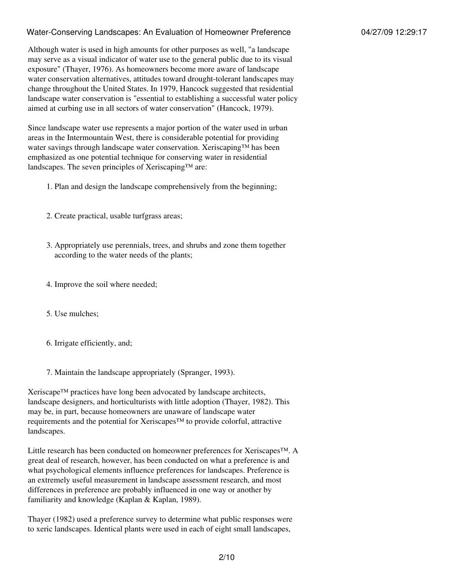Although water is used in high amounts for other purposes as well, "a landscape may serve as a visual indicator of water use to the general public due to its visual exposure" (Thayer, 1976). As homeowners become more aware of landscape water conservation alternatives, attitudes toward drought-tolerant landscapes may change throughout the United States. In 1979, Hancock suggested that residential landscape water conservation is "essential to establishing a successful water policy aimed at curbing use in all sectors of water conservation" (Hancock, 1979).

Since landscape water use represents a major portion of the water used in urban areas in the Intermountain West, there is considerable potential for providing water savings through landscape water conservation. Xeriscaping™ has been emphasized as one potential technique for conserving water in residential landscapes. The seven principles of Xeriscaping™ are:

- 1. Plan and design the landscape comprehensively from the beginning;
- 2. Create practical, usable turfgrass areas;
- Appropriately use perennials, trees, and shrubs and zone them together 3. according to the water needs of the plants;
- 4. Improve the soil where needed;
- 5. Use mulches;
- 6. Irrigate efficiently, and;
- 7. Maintain the landscape appropriately (Spranger, 1993).

Xeriscape™ practices have long been advocated by landscape architects, landscape designers, and horticulturists with little adoption (Thayer, 1982). This may be, in part, because homeowners are unaware of landscape water requirements and the potential for Xeriscapes™ to provide colorful, attractive landscapes.

Little research has been conducted on homeowner preferences for Xeriscapes™. A great deal of research, however, has been conducted on what a preference is and what psychological elements influence preferences for landscapes. Preference is an extremely useful measurement in landscape assessment research, and most differences in preference are probably influenced in one way or another by familiarity and knowledge (Kaplan & Kaplan, 1989).

Thayer (1982) used a preference survey to determine what public responses were to xeric landscapes. Identical plants were used in each of eight small landscapes,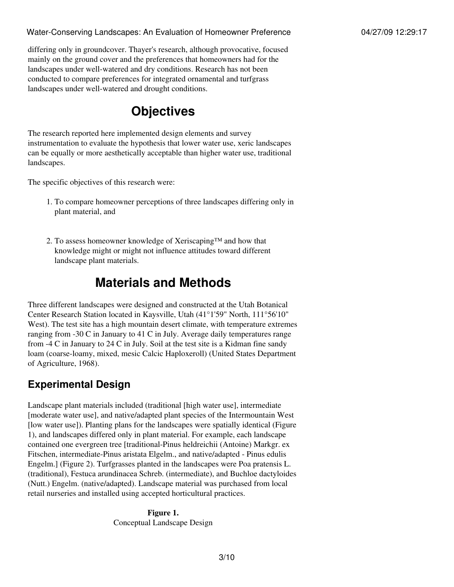differing only in groundcover. Thayer's research, although provocative, focused mainly on the ground cover and the preferences that homeowners had for the landscapes under well-watered and dry conditions. Research has not been conducted to compare preferences for integrated ornamental and turfgrass landscapes under well-watered and drought conditions.

## **Objectives**

The research reported here implemented design elements and survey instrumentation to evaluate the hypothesis that lower water use, xeric landscapes can be equally or more aesthetically acceptable than higher water use, traditional landscapes.

The specific objectives of this research were:

- 1. To compare homeowner perceptions of three landscapes differing only in plant material, and
- 2. To assess homeowner knowledge of Xeriscaping™ and how that knowledge might or might not influence attitudes toward different landscape plant materials.

## **Materials and Methods**

Three different landscapes were designed and constructed at the Utah Botanical Center Research Station located in Kaysville, Utah (41°1'59" North, 111°56'10" West). The test site has a high mountain desert climate, with temperature extremes ranging from -30 C in January to 41 C in July. Average daily temperatures range from -4 C in January to 24 C in July. Soil at the test site is a Kidman fine sandy loam (coarse-loamy, mixed, mesic Calcic Haploxeroll) (United States Department of Agriculture, 1968).

### **Experimental Design**

Landscape plant materials included (traditional [high water use], intermediate [moderate water use], and native/adapted plant species of the Intermountain West [low water use]). Planting plans for the landscapes were spatially identical (Figure 1), and landscapes differed only in plant material. For example, each landscape contained one evergreen tree [traditional-Pinus heldreichii (Antoine) Markgr. ex Fitschen, intermediate-Pinus aristata Elgelm., and native/adapted - Pinus edulis Engelm.] (Figure 2). Turfgrasses planted in the landscapes were Poa pratensis L. (traditional), Festuca arundinacea Schreb. (intermediate), and Buchloe dactyloides (Nutt.) Engelm. (native/adapted). Landscape material was purchased from local retail nurseries and installed using accepted horticultural practices.

> **Figure 1.** Conceptual Landscape Design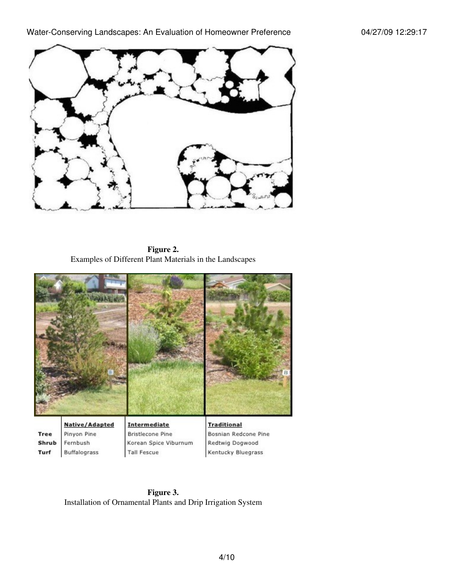

**Figure 2.** Examples of Different Plant Materials in the Landscapes



**Figure 3.** Installation of Ornamental Plants and Drip Irrigation System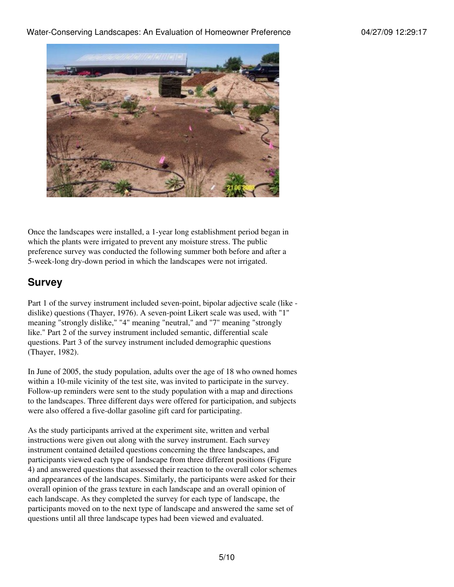

Once the landscapes were installed, a 1-year long establishment period began in which the plants were irrigated to prevent any moisture stress. The public preference survey was conducted the following summer both before and after a 5-week-long dry-down period in which the landscapes were not irrigated.

### **Survey**

Part 1 of the survey instrument included seven-point, bipolar adjective scale (like dislike) questions (Thayer, 1976). A seven-point Likert scale was used, with "1" meaning "strongly dislike," "4" meaning "neutral," and "7" meaning "strongly like." Part 2 of the survey instrument included semantic, differential scale questions. Part 3 of the survey instrument included demographic questions (Thayer, 1982).

In June of 2005, the study population, adults over the age of 18 who owned homes within a 10-mile vicinity of the test site, was invited to participate in the survey. Follow-up reminders were sent to the study population with a map and directions to the landscapes. Three different days were offered for participation, and subjects were also offered a five-dollar gasoline gift card for participating.

As the study participants arrived at the experiment site, written and verbal instructions were given out along with the survey instrument. Each survey instrument contained detailed questions concerning the three landscapes, and participants viewed each type of landscape from three different positions (Figure 4) and answered questions that assessed their reaction to the overall color schemes and appearances of the landscapes. Similarly, the participants were asked for their overall opinion of the grass texture in each landscape and an overall opinion of each landscape. As they completed the survey for each type of landscape, the participants moved on to the next type of landscape and answered the same set of questions until all three landscape types had been viewed and evaluated.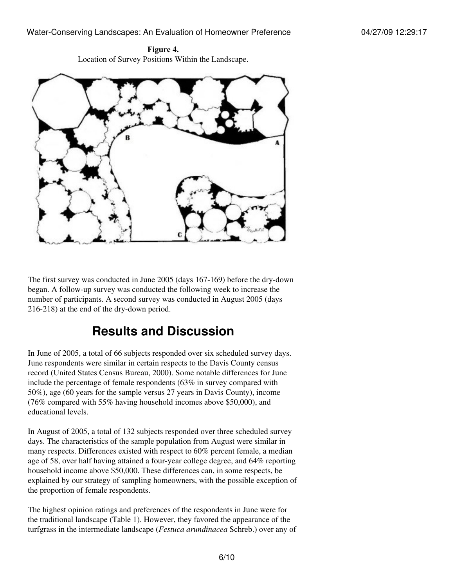**Figure 4.** Location of Survey Positions Within the Landscape.



The first survey was conducted in June 2005 (days 167-169) before the dry-down began. A follow-up survey was conducted the following week to increase the number of participants. A second survey was conducted in August 2005 (days 216-218) at the end of the dry-down period.

## **Results and Discussion**

In June of 2005, a total of 66 subjects responded over six scheduled survey days. June respondents were similar in certain respects to the Davis County census record (United States Census Bureau, 2000). Some notable differences for June include the percentage of female respondents (63% in survey compared with 50%), age (60 years for the sample versus 27 years in Davis County), income (76% compared with 55% having household incomes above \$50,000), and educational levels.

In August of 2005, a total of 132 subjects responded over three scheduled survey days. The characteristics of the sample population from August were similar in many respects. Differences existed with respect to 60% percent female, a median age of 58, over half having attained a four-year college degree, and 64% reporting household income above \$50,000. These differences can, in some respects, be explained by our strategy of sampling homeowners, with the possible exception of the proportion of female respondents.

The highest opinion ratings and preferences of the respondents in June were for the traditional landscape (Table 1). However, they favored the appearance of the turfgrass in the intermediate landscape (*Festuca arundinacea* Schreb.) over any of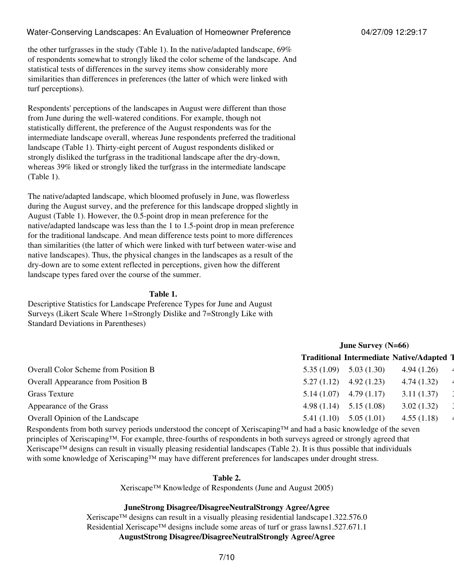the other turfgrasses in the study (Table 1). In the native/adapted landscape, 69% of respondents somewhat to strongly liked the color scheme of the landscape. And statistical tests of differences in the survey items show considerably more similarities than differences in preferences (the latter of which were linked with turf perceptions).

Respondents' perceptions of the landscapes in August were different than those from June during the well-watered conditions. For example, though not statistically different, the preference of the August respondents was for the intermediate landscape overall, whereas June respondents preferred the traditional landscape (Table 1). Thirty-eight percent of August respondents disliked or strongly disliked the turfgrass in the traditional landscape after the dry-down, whereas 39% liked or strongly liked the turfgrass in the intermediate landscape (Table 1).

The native/adapted landscape, which bloomed profusely in June, was flowerless during the August survey, and the preference for this landscape dropped slightly in August (Table 1). However, the 0.5-point drop in mean preference for the native/adapted landscape was less than the 1 to 1.5-point drop in mean preference for the traditional landscape. And mean difference tests point to more differences than similarities (the latter of which were linked with turf between water-wise and native landscapes). Thus, the physical changes in the landscapes as a result of the dry-down are to some extent reflected in perceptions, given how the different landscape types fared over the course of the summer.

#### **Table 1.**

Descriptive Statistics for Landscape Preference Types for June and August Surveys (Likert Scale Where 1=Strongly Dislike and 7=Strongly Like with Standard Deviations in Parentheses)

|                                             | June Survey $(N=66)$                           |  |  |
|---------------------------------------------|------------------------------------------------|--|--|
|                                             | <b>Traditional Intermediate Native/Adapted</b> |  |  |
| <b>Overall Color Scheme from Position B</b> | 5.03(1.30)<br>4.94(1.26)<br>5.35(1.09)         |  |  |
| <b>Overall Appearance from Position B</b>   | 4.92(1.23)<br>4.74(1.32)<br>5.27(1.12)         |  |  |
| <b>Grass Texture</b>                        | 4.79(1.17)<br>3.11(1.37)<br>5.14(1.07)         |  |  |
| Appearance of the Grass                     | 5.15(1.08)<br>3.02(1.32)<br>4.98(1.14)         |  |  |
| Overall Opinion of the Landscape            | 5.05(1.01)<br>4.55(1.18)<br>5.41(1.10)         |  |  |
|                                             |                                                |  |  |

Respondents from both survey periods understood the concept of Xeriscaping™ and had a basic knowledge of the seven principles of Xeriscaping™. For example, three-fourths of respondents in both surveys agreed or strongly agreed that Xeriscape™ designs can result in visually pleasing residential landscapes (Table 2). It is thus possible that individuals with some knowledge of Xeriscaping™ may have different preferences for landscapes under drought stress.

#### **Table 2.**

Xeriscape™ Knowledge of Respondents (June and August 2005)

### **JuneStrong Disagree/DisagreeNeutralStrongy Agree/Agree**

Xeriscape™ designs can result in a visually pleasing residential landscape1.322.576.0 Residential Xeriscape™ designs include some areas of turf or grass lawns1.527.671.1 **AugustStrong Disagree/DisagreeNeutralStrongly Agree/Agree**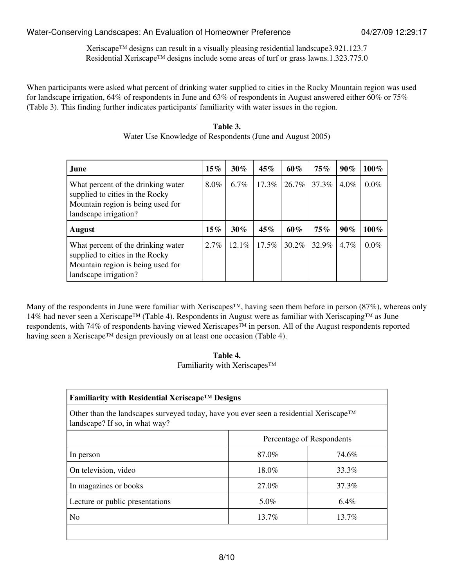Xeriscape™ designs can result in a visually pleasing residential landscape3.921.123.7 Residential Xeriscape™ designs include some areas of turf or grass lawns.1.323.775.0

When participants were asked what percent of drinking water supplied to cities in the Rocky Mountain region was used for landscape irrigation, 64% of respondents in June and 63% of respondents in August answered either 60% or 75% (Table 3). This finding further indicates participants' familiarity with water issues in the region.

| Table 3.                                                  |  |
|-----------------------------------------------------------|--|
| Water Use Knowledge of Respondents (June and August 2005) |  |

| June                                                                                                                                | $15\%$ | $30\%$  | 45%      | $60\%$   | 75%   | $90\%$  | $100\%$ |
|-------------------------------------------------------------------------------------------------------------------------------------|--------|---------|----------|----------|-------|---------|---------|
| What percent of the drinking water<br>supplied to cities in the Rocky<br>Mountain region is being used for<br>landscape irrigation? | 8.0%   | $6.7\%$ | $17.3\%$ | 26.7%    | 37.3% | $4.0\%$ | $0.0\%$ |
| <b>August</b>                                                                                                                       | $15\%$ | $30\%$  | 45%      | 60%      | 75%   | $90\%$  | $100\%$ |
| What percent of the drinking water<br>supplied to cities in the Rocky<br>Mountain region is being used for<br>landscape irrigation? | 2.7%   | 12.1%   | $17.5\%$ | $30.2\%$ | 32.9% | $4.7\%$ | $0.0\%$ |

Many of the respondents in June were familiar with Xeriscapes™, having seen them before in person (87%), whereas only 14% had never seen a Xeriscape™ (Table 4). Respondents in August were as familiar with Xeriscaping™ as June respondents, with 74% of respondents having viewed Xeriscapes™ in person. All of the August respondents reported having seen a Xeriscape™ design previously on at least one occasion (Table 4).

**Table 4.** Familiarity with Xeriscapes™

| Familiarity with Residential Xeriscape <sup>TM</sup> Designs<br>Other than the landscapes surveyed today, have you ever seen a residential Xeriscape <sup>TM</sup><br>landscape? If so, in what way? |       |         |  |  |
|------------------------------------------------------------------------------------------------------------------------------------------------------------------------------------------------------|-------|---------|--|--|
|                                                                                                                                                                                                      |       |         |  |  |
| In person                                                                                                                                                                                            | 87.0% | 74.6%   |  |  |
| On television, video                                                                                                                                                                                 | 18.0% | 33.3%   |  |  |
| In magazines or books                                                                                                                                                                                | 27.0% | 37.3%   |  |  |
| Lecture or public presentations                                                                                                                                                                      | 5.0%  | $6.4\%$ |  |  |
| N <sub>0</sub>                                                                                                                                                                                       | 13.7% | 13.7%   |  |  |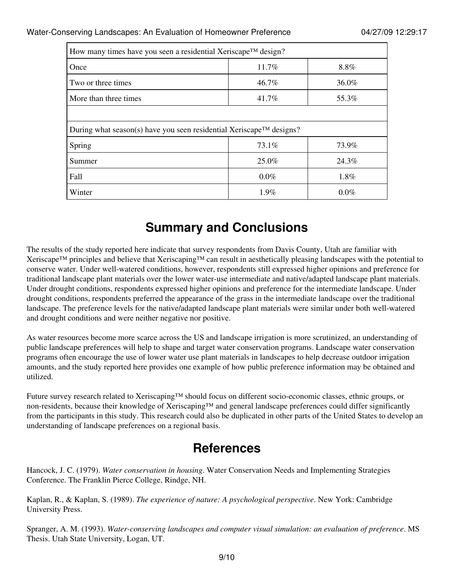| How many times have you seen a residential Xeriscape™ design?       |                |         |  |  |  |  |
|---------------------------------------------------------------------|----------------|---------|--|--|--|--|
| Once                                                                | 11.7%          | 8.8%    |  |  |  |  |
| Two or three times                                                  | 46.7%          | 36.0%   |  |  |  |  |
| More than three times                                               | 41.7%<br>55.3% |         |  |  |  |  |
|                                                                     |                |         |  |  |  |  |
| During what season(s) have you seen residential Xeriscape™ designs? |                |         |  |  |  |  |
| Spring                                                              | 73.1%          | 73.9%   |  |  |  |  |
| Summer                                                              | 25.0%          | 24.3%   |  |  |  |  |
| Fall                                                                | $0.0\%$        | 1.8%    |  |  |  |  |
| Winter                                                              | $1.9\%$        | $0.0\%$ |  |  |  |  |

## **Summary and Conclusions**

The results of the study reported here indicate that survey respondents from Davis County, Utah are familiar with Xeriscape™ principles and believe that Xeriscaping™ can result in aesthetically pleasing landscapes with the potential to conserve water. Under well-watered conditions, however, respondents still expressed higher opinions and preference for traditional landscape plant materials over the lower water-use intermediate and native/adapted landscape plant materials. Under drought conditions, respondents expressed higher opinions and preference for the intermediate landscape. Under drought conditions, respondents preferred the appearance of the grass in the intermediate landscape over the traditional landscape. The preference levels for the native/adapted landscape plant materials were similar under both well-watered and drought conditions and were neither negative nor positive.

As water resources become more scarce across the US and landscape irrigation is more scrutinized, an understanding of public landscape preferences will help to shape and target water conservation programs. Landscape water conservation programs often encourage the use of lower water use plant materials in landscapes to help decrease outdoor irrigation amounts, and the study reported here provides one example of how public preference information may be obtained and utilized.

Future survey research related to Xeriscaping™ should focus on different socio-economic classes, ethnic groups, or non-residents, because their knowledge of Xeriscaping™ and general landscape preferences could differ significantly from the participants in this study. This research could also be duplicated in other parts of the United States to develop an understanding of landscape preferences on a regional basis.

## **References**

Hancock, J. C. (1979). *Water conservation in housing*. Water Conservation Needs and Implementing Strategies Conference. The Franklin Pierce College, Rindge, NH.

Kaplan, R., & Kaplan, S. (1989). *The experience of nature: A psychological perspective*. New York: Cambridge University Press.

Spranger, A. M. (1993). *Water-conserving landscapes and computer visual simulation: an evaluation of preference*. MS Thesis. Utah State University, Logan, UT.